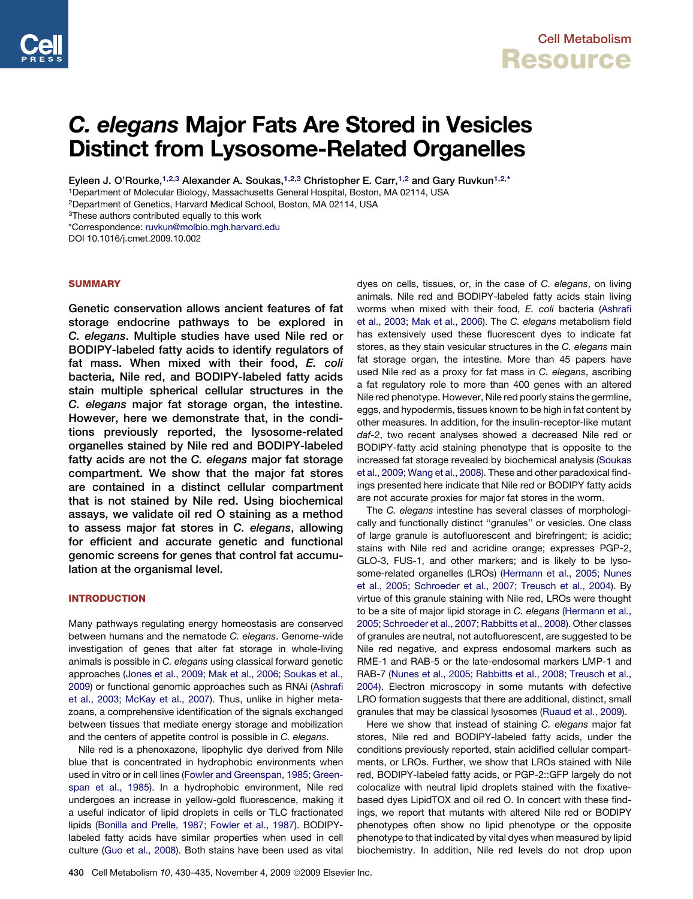# C. elegans Major Fats Are Stored in Vesicles Distinct from Lysosome-Related Organelles

Eyleen J. O'Rourke,<sup>1,2,3</sup> Alexander A. Soukas,<sup>1,2,3</sup> Christopher E. Carr,<sup>1,2</sup> and Gary Ruvkun<sup>1,2,\*</sup>

1Department of Molecular Biology, Massachusetts General Hospital, Boston, MA 02114, USA

2Department of Genetics, Harvard Medical School, Boston, MA 02114, USA

3These authors contributed equally to this work

\*Correspondence: [ruvkun@molbio.mgh.harvard.edu](mailto:ruvkun@molbio.mgh.harvard.edu)

DOI 10.1016/j.cmet.2009.10.002

## **SUMMARY**

Genetic conservation allows ancient features of fat storage endocrine pathways to be explored in C. elegans. Multiple studies have used Nile red or BODIPY-labeled fatty acids to identify regulators of fat mass. When mixed with their food, E. coli bacteria, Nile red, and BODIPY-labeled fatty acids stain multiple spherical cellular structures in the C. elegans major fat storage organ, the intestine. However, here we demonstrate that, in the conditions previously reported, the lysosome-related organelles stained by Nile red and BODIPY-labeled fatty acids are not the C. elegans major fat storage compartment. We show that the major fat stores are contained in a distinct cellular compartment that is not stained by Nile red. Using biochemical assays, we validate oil red O staining as a method to assess major fat stores in C. elegans, allowing for efficient and accurate genetic and functional genomic screens for genes that control fat accumulation at the organismal level.

# INTRODUCTION

Many pathways regulating energy homeostasis are conserved between humans and the nematode *C. elegans*. Genome-wide investigation of genes that alter fat storage in whole-living animals is possible in *C. elegans* using classical forward genetic approaches [\(Jones et al., 2009; Mak et al., 2006; Soukas et al.,](#page-5-0) [2009](#page-5-0)) or functional genomic approaches such as RNAi ([Ashrafi](#page-4-0) [et al., 2003; McKay et al., 2007\)](#page-4-0). Thus, unlike in higher metazoans, a comprehensive identification of the signals exchanged between tissues that mediate energy storage and mobilization and the centers of appetite control is possible in *C. elegans*.

Nile red is a phenoxazone, lipophylic dye derived from Nile blue that is concentrated in hydrophobic environments when used in vitro or in cell lines [\(Fowler and Greenspan, 1985; Green](#page-4-0)[span et al., 1985\)](#page-4-0). In a hydrophobic environment, Nile red undergoes an increase in yellow-gold fluorescence, making it a useful indicator of lipid droplets in cells or TLC fractionated lipids [\(Bonilla and Prelle, 1987; Fowler et al., 1987](#page-4-0)). BODIPYlabeled fatty acids have similar properties when used in cell culture ([Guo et al., 2008](#page-5-0)). Both stains have been used as vital

dyes on cells, tissues, or, in the case of *C. elegans*, on living animals. Nile red and BODIPY-labeled fatty acids stain living worms when mixed with their food, *E. coli* bacteria ([Ashrafi](#page-4-0) [et al., 2003; Mak et al., 2006](#page-4-0)). The *C. elegans* metabolism field has extensively used these fluorescent dyes to indicate fat stores, as they stain vesicular structures in the *C. elegans* main fat storage organ, the intestine. More than 45 papers have used Nile red as a proxy for fat mass in *C. elegans*, ascribing a fat regulatory role to more than 400 genes with an altered Nile red phenotype. However, Nile red poorly stains the germline, eggs, and hypodermis, tissues known to be high in fat content by other measures. In addition, for the insulin-receptor-like mutant *daf-2*, two recent analyses showed a decreased Nile red or BODIPY-fatty acid staining phenotype that is opposite to the increased fat storage revealed by biochemical analysis ([Soukas](#page-5-0) [et al., 2009; Wang et al., 2008](#page-5-0)). These and other paradoxical findings presented here indicate that Nile red or BODIPY fatty acids are not accurate proxies for major fat stores in the worm.

The *C. elegans* intestine has several classes of morphologically and functionally distinct ''granules'' or vesicles. One class of large granule is autofluorescent and birefringent; is acidic; stains with Nile red and acridine orange; expresses PGP-2, GLO-3, FUS-1, and other markers; and is likely to be lysosome-related organelles (LROs) ([Hermann et al., 2005; Nunes](#page-5-0) [et al., 2005; Schroeder et al., 2007; Treusch et al., 2004\)](#page-5-0). By virtue of this granule staining with Nile red, LROs were thought to be a site of major lipid storage in *C. elegans* ([Hermann et al.,](#page-5-0) [2005; Schroeder et al., 2007; Rabbitts et al., 2008\)](#page-5-0). Other classes of granules are neutral, not autofluorescent, are suggested to be Nile red negative, and express endosomal markers such as RME-1 and RAB-5 or the late-endosomal markers LMP-1 and RAB-7 ([Nunes et al., 2005; Rabbitts et al., 2008; Treusch et al.,](#page-5-0) [2004\)](#page-5-0). Electron microscopy in some mutants with defective LRO formation suggests that there are additional, distinct, small granules that may be classical lysosomes [\(Ruaud et al., 2009\)](#page-5-0).

Here we show that instead of staining *C. elegans* major fat stores, Nile red and BODIPY-labeled fatty acids, under the conditions previously reported, stain acidified cellular compartments, or LROs. Further, we show that LROs stained with Nile red, BODIPY-labeled fatty acids, or PGP-2::GFP largely do not colocalize with neutral lipid droplets stained with the fixativebased dyes LipidTOX and oil red O. In concert with these findings, we report that mutants with altered Nile red or BODIPY phenotypes often show no lipid phenotype or the opposite phenotype to that indicated by vital dyes when measured by lipid biochemistry. In addition, Nile red levels do not drop upon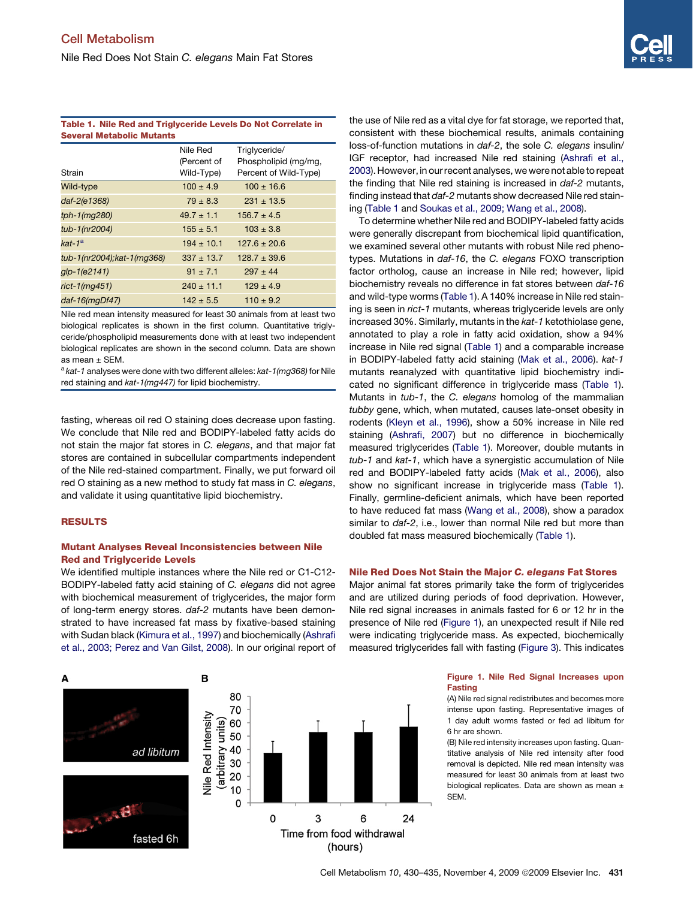## Table 1. Nile Red and Triglyceride Levels Do Not Correlate in Several Metabolic Mutants

| Strain                      | Nile Red<br>(Percent of<br>Wild-Type) | Triglyceride/<br>Phospholipid (mg/mg,<br>Percent of Wild-Type) |
|-----------------------------|---------------------------------------|----------------------------------------------------------------|
| Wild-type                   | $100 \pm 4.9$                         | $100 \pm 16.6$                                                 |
| daf-2(e1368)                | $79 \pm 8.3$                          | $231 \pm 13.5$                                                 |
| tph-1(mg280)                | $49.7 \pm 1.1$                        | $156.7 \pm 4.5$                                                |
| tub-1(nr2004)               | $155 \pm 5.1$                         | $103 \pm 3.8$                                                  |
| kat-1 $^{\rm a}$            | $194 \pm 10.1$                        | $127.6 \pm 20.6$                                               |
| tub-1(nr2004); kat-1(mq368) | $337 \pm 13.7$                        | $128.7 \pm 39.6$                                               |
| glp-1(e2141)                | $91 \pm 7.1$                          | $297 \pm 44$                                                   |
| rict-1(mg451)               | $240 \pm 11.1$                        | $129 \pm 4.9$                                                  |
| $dat-16(mqDf47)$            | $142 \pm 5.5$                         | $110 \pm 9.2$                                                  |

Nile red mean intensity measured for least 30 animals from at least two biological replicates is shown in the first column. Quantitative triglyceride/phospholipid measurements done with at least two independent biological replicates are shown in the second column. Data are shown as mean  $\pm$  SEM.

<sup>a</sup> *kat-1* analyses were done with two different alleles: *kat-1(mg368)* for Nile red staining and *kat-1(mg447)* for lipid biochemistry.

fasting, whereas oil red O staining does decrease upon fasting. We conclude that Nile red and BODIPY-labeled fatty acids do not stain the major fat stores in *C. elegans*, and that major fat stores are contained in subcellular compartments independent of the Nile red-stained compartment. Finally, we put forward oil red O staining as a new method to study fat mass in *C. elegans*, and validate it using quantitative lipid biochemistry.

## RESULTS

A

# Mutant Analyses Reveal Inconsistencies between Nile Red and Triglyceride Levels

We identified multiple instances where the Nile red or C1-C12- BODIPY-labeled fatty acid staining of *C. elegans* did not agree with biochemical measurement of triglycerides, the major form of long-term energy stores. *daf-2* mutants have been demonstrated to have increased fat mass by fixative-based staining with Sudan black [\(Kimura et al., 1997](#page-5-0)) and biochemically [\(Ashrafi](#page-4-0) [et al., 2003; Perez and Van Gilst, 2008](#page-4-0)). In our original report of



the use of Nile red as a vital dye for fat storage, we reported that, consistent with these biochemical results, animals containing loss-of-function mutations in *daf-2*, the sole *C. elegans* insulin/ IGF receptor, had increased Nile red staining [\(Ashrafi et al.,](#page-4-0) [2003\)](#page-4-0). However, in our recent analyses, we were not able to repeat the finding that Nile red staining is increased in *daf-2* mutants, finding instead that *daf-2* mutants show decreased Nile red staining (Table 1 and [Soukas et al., 2009; Wang et al., 2008](#page-5-0)).

To determine whether Nile red and BODIPY-labeled fatty acids were generally discrepant from biochemical lipid quantification, we examined several other mutants with robust Nile red phenotypes. Mutations in *daf-16*, the *C. elegans* FOXO transcription factor ortholog, cause an increase in Nile red; however, lipid biochemistry reveals no difference in fat stores between *daf-16* and wild-type worms (Table 1). A 140% increase in Nile red staining is seen in *rict-1* mutants, whereas triglyceride levels are only increased 30%. Similarly, mutants in the *kat-1* ketothiolase gene, annotated to play a role in fatty acid oxidation, show a 94% increase in Nile red signal (Table 1) and a comparable increase in BODIPY-labeled fatty acid staining [\(Mak et al., 2006](#page-5-0)). *kat-1* mutants reanalyzed with quantitative lipid biochemistry indicated no significant difference in triglyceride mass (Table 1). Mutants in *tub-1*, the *C. elegans* homolog of the mammalian *tubby* gene, which, when mutated, causes late-onset obesity in rodents ([Kleyn et al., 1996\)](#page-5-0), show a 50% increase in Nile red staining [\(Ashrafi, 2007\)](#page-4-0) but no difference in biochemically measured triglycerides (Table 1). Moreover, double mutants in *tub-1* and *kat-1*, which have a synergistic accumulation of Nile red and BODIPY-labeled fatty acids ([Mak et al., 2006\)](#page-5-0), also show no significant increase in triglyceride mass (Table 1). Finally, germline-deficient animals, which have been reported to have reduced fat mass ([Wang et al., 2008](#page-5-0)), show a paradox similar to *daf-2*, i.e., lower than normal Nile red but more than doubled fat mass measured biochemically (Table 1).

## Nile Red Does Not Stain the Major C. elegans Fat Stores

Major animal fat stores primarily take the form of triglycerides and are utilized during periods of food deprivation. However, Nile red signal increases in animals fasted for 6 or 12 hr in the presence of Nile red (Figure 1), an unexpected result if Nile red were indicating triglyceride mass. As expected, biochemically measured triglycerides fall with fasting ([Figure 3](#page-3-0)). This indicates

> Figure 1. Nile Red Signal Increases upon Fasting

> (A) Nile red signal redistributes and becomes more intense upon fasting. Representative images of 1 day adult worms fasted or fed ad libitum for 6 hr are shown.

> (B) Nile red intensity increases upon fasting. Quantitative analysis of Nile red intensity after food removal is depicted. Nile red mean intensity was measured for least 30 animals from at least two biological replicates. Data are shown as mean  $\pm$ SEM.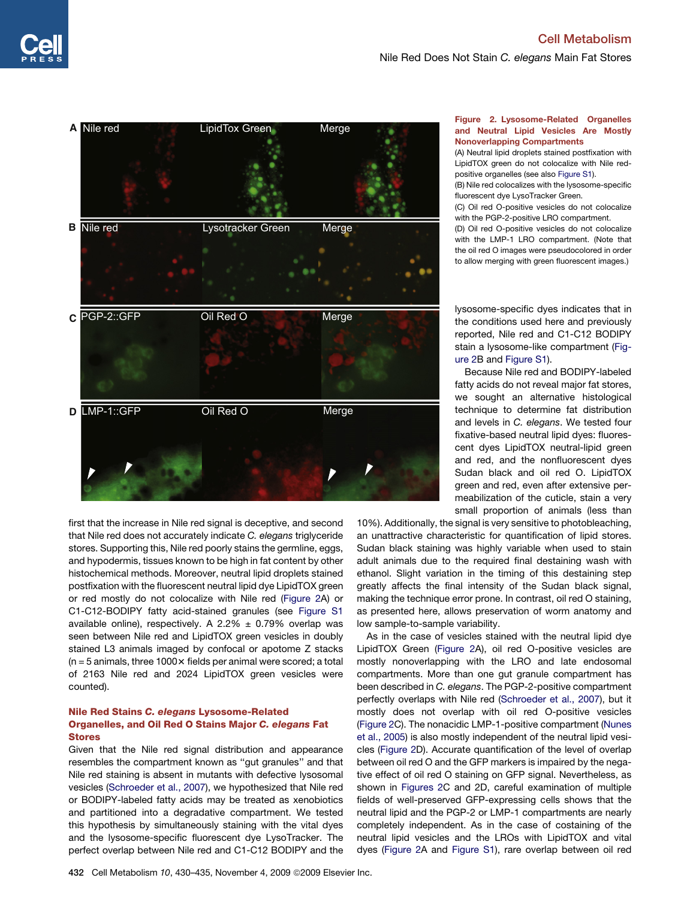

first that the increase in Nile red signal is deceptive, and second that Nile red does not accurately indicate *C. elegans* triglyceride stores. Supporting this, Nile red poorly stains the germline, eggs, and hypodermis, tissues known to be high in fat content by other histochemical methods. Moreover, neutral lipid droplets stained postfixation with the fluorescent neutral lipid dye LipidTOX green or red mostly do not colocalize with Nile red (Figure 2A) or C1-C12-BODIPY fatty acid-stained granules (see [Figure S1](#page-4-0) available online), respectively. A 2.2%  $\pm$  0.79% overlap was seen between Nile red and LipidTOX green vesicles in doubly stained L3 animals imaged by confocal or apotome Z stacks  $(n = 5 \text{ animals}, \text{three } 1000 \times \text{fields} \text{ per animal were scored; a total}$ of 2163 Nile red and 2024 LipidTOX green vesicles were counted).

# Nile Red Stains C. elegans Lysosome-Related Organelles, and Oil Red O Stains Major C. elegans Fat Stores

Given that the Nile red signal distribution and appearance resembles the compartment known as ''gut granules'' and that Nile red staining is absent in mutants with defective lysosomal vesicles ([Schroeder et al., 2007\)](#page-5-0), we hypothesized that Nile red or BODIPY-labeled fatty acids may be treated as xenobiotics and partitioned into a degradative compartment. We tested this hypothesis by simultaneously staining with the vital dyes and the lysosome-specific fluorescent dye LysoTracker. The perfect overlap between Nile red and C1-C12 BODIPY and the

## Figure 2. Lysosome-Related Organelles and Neutral Lipid Vesicles Are Mostly Nonoverlapping Compartments

(A) Neutral lipid droplets stained postfixation with LipidTOX green do not colocalize with Nile red-positive organelles (see also [Figure S1\)](#page-4-0).

(B) Nile red colocalizes with the lysosome-specific fluorescent dye LysoTracker Green.

(C) Oil red O-positive vesicles do not colocalize with the PGP-2-positive LRO compartment.

(D) Oil red O-positive vesicles do not colocalize with the LMP-1 LRO compartment. (Note that the oil red O images were pseudocolored in order to allow merging with green fluorescent images.)

lysosome-specific dyes indicates that in the conditions used here and previously reported, Nile red and C1-C12 BODIPY stain a lysosome-like compartment (Figure 2B and [Figure S1](#page-4-0)).

Because Nile red and BODIPY-labeled fatty acids do not reveal major fat stores, we sought an alternative histological technique to determine fat distribution and levels in *C. elegans*. We tested four fixative-based neutral lipid dyes: fluorescent dyes LipidTOX neutral-lipid green and red, and the nonfluorescent dyes Sudan black and oil red O. LipidTOX green and red, even after extensive permeabilization of the cuticle, stain a very small proportion of animals (less than

10%). Additionally, the signal is very sensitive to photobleaching, an unattractive characteristic for quantification of lipid stores. Sudan black staining was highly variable when used to stain adult animals due to the required final destaining wash with ethanol. Slight variation in the timing of this destaining step greatly affects the final intensity of the Sudan black signal, making the technique error prone. In contrast, oil red O staining, as presented here, allows preservation of worm anatomy and low sample-to-sample variability.

As in the case of vesicles stained with the neutral lipid dye LipidTOX Green (Figure 2A), oil red O-positive vesicles are mostly nonoverlapping with the LRO and late endosomal compartments. More than one gut granule compartment has been described in *C. elegans*. The PGP-2-positive compartment perfectly overlaps with Nile red [\(Schroeder et al., 2007](#page-5-0)), but it mostly does not overlap with oil red O-positive vesicles (Figure 2C). The nonacidic LMP-1-positive compartment ([Nunes](#page-5-0) [et al., 2005\)](#page-5-0) is also mostly independent of the neutral lipid vesicles (Figure 2D). Accurate quantification of the level of overlap between oil red O and the GFP markers is impaired by the negative effect of oil red O staining on GFP signal. Nevertheless, as shown in Figures 2C and 2D, careful examination of multiple fields of well-preserved GFP-expressing cells shows that the neutral lipid and the PGP-2 or LMP-1 compartments are nearly completely independent. As in the case of costaining of the neutral lipid vesicles and the LROs with LipidTOX and vital dyes (Figure 2A and [Figure S1\)](#page-4-0), rare overlap between oil red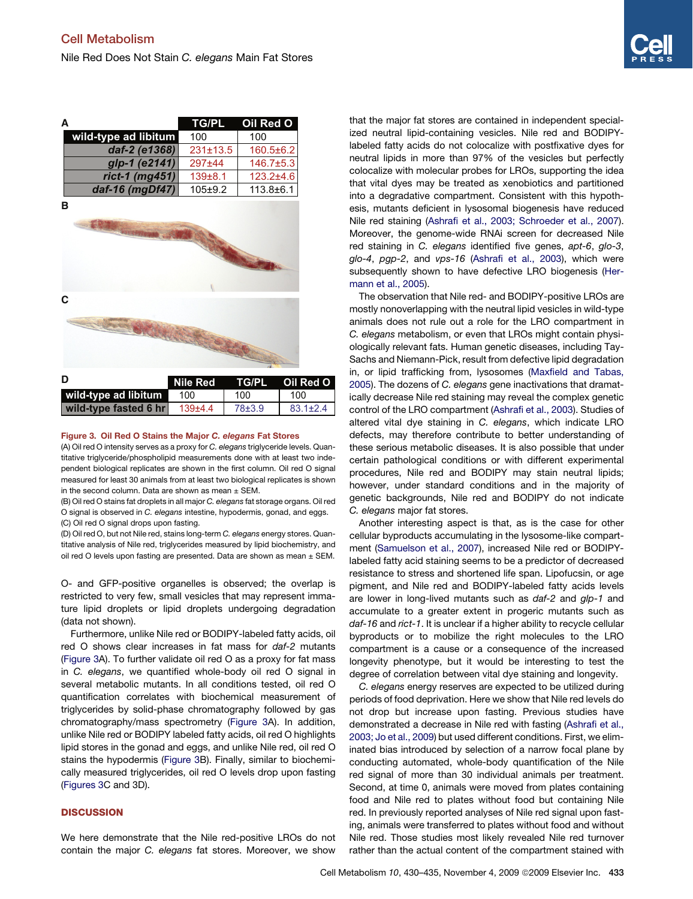<span id="page-3-0"></span>

|                                  |                | TG/PL Oil Red O |
|----------------------------------|----------------|-----------------|
| wild-type ad libitum             | 100            | 100             |
| daf-2 (e1368)                    | $231 \pm 13.5$ | $160.5 \pm 6.2$ |
| glp-1 (e2141)                    | $297 + 44$     | $146.7 \pm 5.3$ |
| rict-1 $(mg451)$                 | $139 + 8.1$    | $123.2 + 4.6$   |
| daf-16 (mgDf47)                  | $105+9.2$      | $113.8 \pm 6.1$ |
| в                                |                |                 |
| the collection of the collection |                |                 |



| D                     | Nile Red TG/PL Oil Red O |            |                |
|-----------------------|--------------------------|------------|----------------|
| wild-type ad libitum  | 100                      | 100        | 100            |
| wild-type fasted 6 hr | 139±4.4                  | $78 + 3.9$ | $83.1 \pm 2.4$ |

#### Figure 3. Oil Red O Stains the Major C. elegans Fat Stores

(A) Oil red O intensity serves as a proxy for *C. elegans* triglyceride levels. Quantitative triglyceride/phospholipid measurements done with at least two independent biological replicates are shown in the first column. Oil red O signal measured for least 30 animals from at least two biological replicates is shown in the second column. Data are shown as mean  $\pm$  SEM.

(B) Oil red O stains fat droplets in all major *C. elegans* fat storage organs. Oil red O signal is observed in *C. elegans* intestine, hypodermis, gonad, and eggs. (C) Oil red O signal drops upon fasting.

(D) Oil red O, but not Nile red, stains long-term *C. elegans* energy stores. Quantitative analysis of Nile red, triglycerides measured by lipid biochemistry, and oil red O levels upon fasting are presented. Data are shown as mean  $\pm$  SEM.

O- and GFP-positive organelles is observed; the overlap is restricted to very few, small vesicles that may represent immature lipid droplets or lipid droplets undergoing degradation (data not shown).

Furthermore, unlike Nile red or BODIPY-labeled fatty acids, oil red O shows clear increases in fat mass for *daf-2* mutants (Figure 3A). To further validate oil red O as a proxy for fat mass in *C. elegans*, we quantified whole-body oil red O signal in several metabolic mutants. In all conditions tested, oil red O quantification correlates with biochemical measurement of triglycerides by solid-phase chromatography followed by gas chromatography/mass spectrometry (Figure 3A). In addition, unlike Nile red or BODIPY labeled fatty acids, oil red O highlights lipid stores in the gonad and eggs, and unlike Nile red, oil red O stains the hypodermis (Figure 3B). Finally, similar to biochemically measured triglycerides, oil red O levels drop upon fasting (Figures 3C and 3D).

# **DISCUSSION**

We here demonstrate that the Nile red-positive LROs do not contain the major *C. elegans* fat stores. Moreover, we show that the major fat stores are contained in independent specialized neutral lipid-containing vesicles. Nile red and BODIPYlabeled fatty acids do not colocalize with postfixative dyes for neutral lipids in more than 97% of the vesicles but perfectly colocalize with molecular probes for LROs, supporting the idea that vital dyes may be treated as xenobiotics and partitioned into a degradative compartment. Consistent with this hypothesis, mutants deficient in lysosomal biogenesis have reduced Nile red staining ([Ashrafi et al., 2003; Schroeder et al., 2007\)](#page-4-0). Moreover, the genome-wide RNAi screen for decreased Nile red staining in *C. elegans* identified five genes, *apt-6*, *glo-3*, *glo-4*, *pgp-2*, and *vps-16* ([Ashrafi et al., 2003\)](#page-4-0), which were subsequently shown to have defective LRO biogenesis ([Her](#page-5-0)[mann et al., 2005\)](#page-5-0).

The observation that Nile red- and BODIPY-positive LROs are mostly nonoverlapping with the neutral lipid vesicles in wild-type animals does not rule out a role for the LRO compartment in *C. elegans* metabolism, or even that LROs might contain physiologically relevant fats. Human genetic diseases, including Tay-Sachs and Niemann-Pick, result from defective lipid degradation in, or lipid trafficking from, lysosomes [\(Maxfield and Tabas,](#page-5-0) [2005\)](#page-5-0). The dozens of *C. elegans* gene inactivations that dramatically decrease Nile red staining may reveal the complex genetic control of the LRO compartment ([Ashrafi et al., 2003\)](#page-4-0). Studies of altered vital dye staining in *C. elegans*, which indicate LRO defects, may therefore contribute to better understanding of these serious metabolic diseases. It is also possible that under certain pathological conditions or with different experimental procedures, Nile red and BODIPY may stain neutral lipids; however, under standard conditions and in the majority of genetic backgrounds, Nile red and BODIPY do not indicate *C. elegans* major fat stores.

Another interesting aspect is that, as is the case for other cellular byproducts accumulating in the lysosome-like compartment ([Samuelson et al., 2007](#page-5-0)), increased Nile red or BODIPYlabeled fatty acid staining seems to be a predictor of decreased resistance to stress and shortened life span. Lipofucsin, or age pigment, and Nile red and BODIPY-labeled fatty acids levels are lower in long-lived mutants such as *daf-2* and *glp-1* and accumulate to a greater extent in progeric mutants such as *daf-16* and *rict-1*. It is unclear if a higher ability to recycle cellular byproducts or to mobilize the right molecules to the LRO compartment is a cause or a consequence of the increased longevity phenotype, but it would be interesting to test the degree of correlation between vital dye staining and longevity.

*C. elegans* energy reserves are expected to be utilized during periods of food deprivation. Here we show that Nile red levels do not drop but increase upon fasting. Previous studies have demonstrated a decrease in Nile red with fasting ([Ashrafi et al.,](#page-4-0) [2003; Jo et al., 2009\)](#page-4-0) but used different conditions. First, we eliminated bias introduced by selection of a narrow focal plane by conducting automated, whole-body quantification of the Nile red signal of more than 30 individual animals per treatment. Second, at time 0, animals were moved from plates containing food and Nile red to plates without food but containing Nile red. In previously reported analyses of Nile red signal upon fasting, animals were transferred to plates without food and without Nile red. Those studies most likely revealed Nile red turnover rather than the actual content of the compartment stained with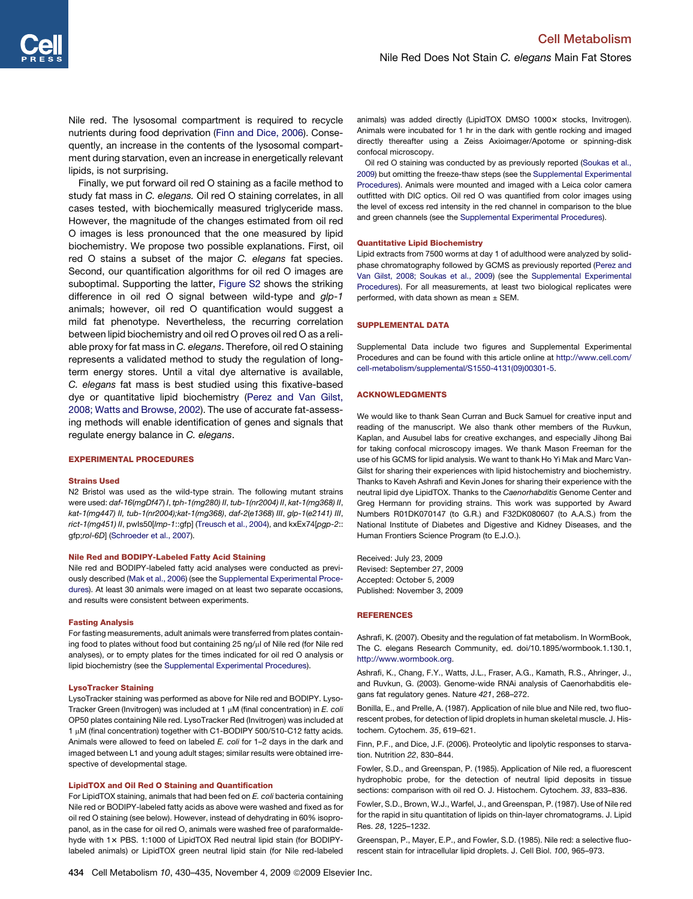<span id="page-4-0"></span>Nile red. The lysosomal compartment is required to recycle nutrients during food deprivation (Finn and Dice, 2006). Consequently, an increase in the contents of the lysosomal compartment during starvation, even an increase in energetically relevant lipids, is not surprising.

Finally, we put forward oil red O staining as a facile method to study fat mass in *C. elegans.* Oil red O staining correlates, in all cases tested, with biochemically measured triglyceride mass. However, the magnitude of the changes estimated from oil red O images is less pronounced that the one measured by lipid biochemistry. We propose two possible explanations. First, oil red O stains a subset of the major *C. elegans* fat species. Second, our quantification algorithms for oil red O images are suboptimal. Supporting the latter, Figure S2 shows the striking difference in oil red O signal between wild-type and *glp-1* animals; however, oil red O quantification would suggest a mild fat phenotype. Nevertheless, the recurring correlation between lipid biochemistry and oil red O proves oil red O as a reliable proxy for fat mass in *C. elegans*. Therefore, oil red O staining represents a validated method to study the regulation of longterm energy stores. Until a vital dye alternative is available, *C. elegans* fat mass is best studied using this fixative-based dye or quantitative lipid biochemistry [\(Perez and Van Gilst,](#page-5-0) [2008; Watts and Browse, 2002\)](#page-5-0). The use of accurate fat-assessing methods will enable identification of genes and signals that regulate energy balance in *C. elegans*.

### EXPERIMENTAL PROCEDURES

#### Strains Used

N2 Bristol was used as the wild-type strain. The following mutant strains were used: *daf-16*(*mgDf47*) *I*, *tph-1(mg280) II*, *tub-1(nr2004) II*, *kat-1(mg368) II*, *kat-1(mg447) II, tub-1(nr2004);kat-1(mg368)*, *daf-2*(*e1368*) *III*, *glp-1*(*e2141) III*, *rict-1(mg451) II*, pwIs50[*lmp-1*::gfp] ([Treusch et al., 2004\)](#page-5-0), and kxEx74[*pgp-2*:: gfp;*rol-6D*] ([Schroeder et al., 2007\)](#page-5-0).

#### Nile Red and BODIPY-Labeled Fatty Acid Staining

Nile red and BODIPY-labeled fatty acid analyses were conducted as previously described [\(Mak et al., 2006](#page-5-0)) (see the Supplemental Experimental Procedures). At least 30 animals were imaged on at least two separate occasions, and results were consistent between experiments.

#### Fasting Analysis

For fasting measurements, adult animals were transferred from plates containing food to plates without food but containing 25 ng/µl of Nile red (for Nile red analyses), or to empty plates for the times indicated for oil red O analysis or lipid biochemistry (see the Supplemental Experimental Procedures).

#### LysoTracker Staining

LysoTracker staining was performed as above for Nile red and BODIPY. Lyso-Tracker Green (Invitrogen) was included at 1 µM (final concentration) in *E. coli* OP50 plates containing Nile red. LysoTracker Red (Invitrogen) was included at 1 µM (final concentration) together with C1-BODIPY 500/510-C12 fatty acids. Animals were allowed to feed on labeled *E. coli* for 1–2 days in the dark and imaged between L1 and young adult stages; similar results were obtained irrespective of developmental stage.

# LipidTOX and Oil Red O Staining and Quantification

For LipidTOX staining, animals that had been fed on *E. coli* bacteria containing Nile red or BODIPY-labeled fatty acids as above were washed and fixed as for oil red O staining (see below). However, instead of dehydrating in 60% isopropanol, as in the case for oil red O, animals were washed free of paraformaldehyde with 1x PBS. 1:1000 of LipidTOX Red neutral lipid stain (for BODIPYlabeled animals) or LipidTOX green neutral lipid stain (for Nile red-labeled

animals) was added directly (LipidTOX DMSO 1000x stocks, Invitrogen). Animals were incubated for 1 hr in the dark with gentle rocking and imaged directly thereafter using a Zeiss Axioimager/Apotome or spinning-disk confocal microscopy.

Oil red O staining was conducted by as previously reported [\(Soukas et al.,](#page-5-0) [2009](#page-5-0)) but omitting the freeze-thaw steps (see the Supplemental Experimental Procedures). Animals were mounted and imaged with a Leica color camera outfitted with DIC optics. Oil red O was quantified from color images using the level of excess red intensity in the red channel in comparison to the blue and green channels (see the Supplemental Experimental Procedures).

#### Quantitative Lipid Biochemistry

Lipid extracts from 7500 worms at day 1 of adulthood were analyzed by solidphase chromatography followed by GCMS as previously reported ([Perez and](#page-5-0) [Van Gilst, 2008; Soukas et al., 2009\)](#page-5-0) (see the Supplemental Experimental Procedures). For all measurements, at least two biological replicates were performed, with data shown as mean  $\pm$  SEM.

### SUPPLEMENTAL DATA

Supplemental Data include two figures and Supplemental Experimental Procedures and can be found with this article online at [http://www.cell.com/](http://www.cell.com/cell-metabolism/supplemental/S1550-4131(09)00301-5) [cell-metabolism/supplemental/S1550-4131\(09\)00301-5](http://www.cell.com/cell-metabolism/supplemental/S1550-4131(09)00301-5).

#### ACKNOWLEDGMENTS

We would like to thank Sean Curran and Buck Samuel for creative input and reading of the manuscript. We also thank other members of the Ruvkun, Kaplan, and Ausubel labs for creative exchanges, and especially Jihong Bai for taking confocal microscopy images. We thank Mason Freeman for the use of his GCMS for lipid analysis. We want to thank Ho Yi Mak and Marc Van-Gilst for sharing their experiences with lipid histochemistry and biochemistry. Thanks to Kaveh Ashrafi and Kevin Jones for sharing their experience with the neutral lipid dye LipidTOX. Thanks to the *Caenorhabditis* Genome Center and Greg Hermann for providing strains. This work was supported by Award Numbers R01DK070147 (to G.R.) and F32DK080607 (to A.A.S.) from the National Institute of Diabetes and Digestive and Kidney Diseases, and the Human Frontiers Science Program (to E.J.O.).

Received: July 23, 2009 Revised: September 27, 2009 Accepted: October 5, 2009 Published: November 3, 2009

#### REFERENCES

Ashrafi, K. (2007). Obesity and the regulation of fat metabolism. In WormBook, The C. elegans Research Community, ed. doi/10.1895/wormbook.1.130.1, <http://www.wormbook.org>.

Ashrafi, K., Chang, F.Y., Watts, J.L., Fraser, A.G., Kamath, R.S., Ahringer, J., and Ruvkun, G. (2003). Genome-wide RNAi analysis of Caenorhabditis elegans fat regulatory genes. Nature *421*, 268–272.

Bonilla, E., and Prelle, A. (1987). Application of nile blue and Nile red, two fluorescent probes, for detection of lipid droplets in human skeletal muscle. J. Histochem. Cytochem. *35*, 619–621.

Finn, P.F., and Dice, J.F. (2006). Proteolytic and lipolytic responses to starvation. Nutrition *22*, 830–844.

Fowler, S.D., and Greenspan, P. (1985). Application of Nile red, a fluorescent hydrophobic probe, for the detection of neutral lipid deposits in tissue sections: comparison with oil red O. J. Histochem. Cytochem. *33*, 833–836.

Fowler, S.D., Brown, W.J., Warfel, J., and Greenspan, P. (1987). Use of Nile red for the rapid in situ quantitation of lipids on thin-layer chromatograms. J. Lipid Res. *28*, 1225–1232.

Greenspan, P., Mayer, E.P., and Fowler, S.D. (1985). Nile red: a selective fluorescent stain for intracellular lipid droplets. J. Cell Biol. *100*, 965–973.